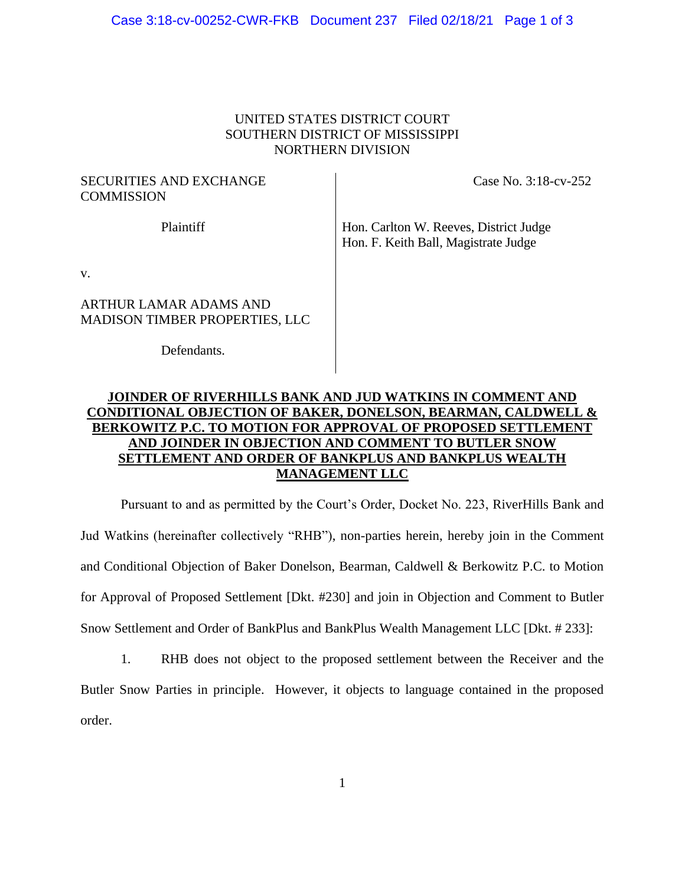#### Case 3:18-cv-00252-CWR-FKB Document 237 Filed 02/18/21 Page 1 of 3

#### UNITED STATES DISTRICT COURT SOUTHERN DISTRICT OF MISSISSIPPI NORTHERN DIVISION

## SECURITIES AND EXCHANGE **COMMISSION**

Case No. 3:18-cv-252

Plaintiff Hon. Carlton W. Reeves, District Judge Hon. F. Keith Ball, Magistrate Judge

v.

## ARTHUR LAMAR ADAMS AND MADISON TIMBER PROPERTIES, LLC

Defendants.

# **JOINDER OF RIVERHILLS BANK AND JUD WATKINS IN COMMENT AND CONDITIONAL OBJECTION OF BAKER, DONELSON, BEARMAN, CALDWELL & BERKOWITZ P.C. TO MOTION FOR APPROVAL OF PROPOSED SETTLEMENT AND JOINDER IN OBJECTION AND COMMENT TO BUTLER SNOW SETTLEMENT AND ORDER OF BANKPLUS AND BANKPLUS WEALTH MANAGEMENT LLC**

Pursuant to and as permitted by the Court's Order, Docket No. 223, RiverHills Bank and Jud Watkins (hereinafter collectively "RHB"), non-parties herein, hereby join in the Comment and Conditional Objection of Baker Donelson, Bearman, Caldwell & Berkowitz P.C. to Motion for Approval of Proposed Settlement [Dkt. #230] and join in Objection and Comment to Butler Snow Settlement and Order of BankPlus and BankPlus Wealth Management LLC [Dkt. # 233]:

1. RHB does not object to the proposed settlement between the Receiver and the Butler Snow Parties in principle. However, it objects to language contained in the proposed order.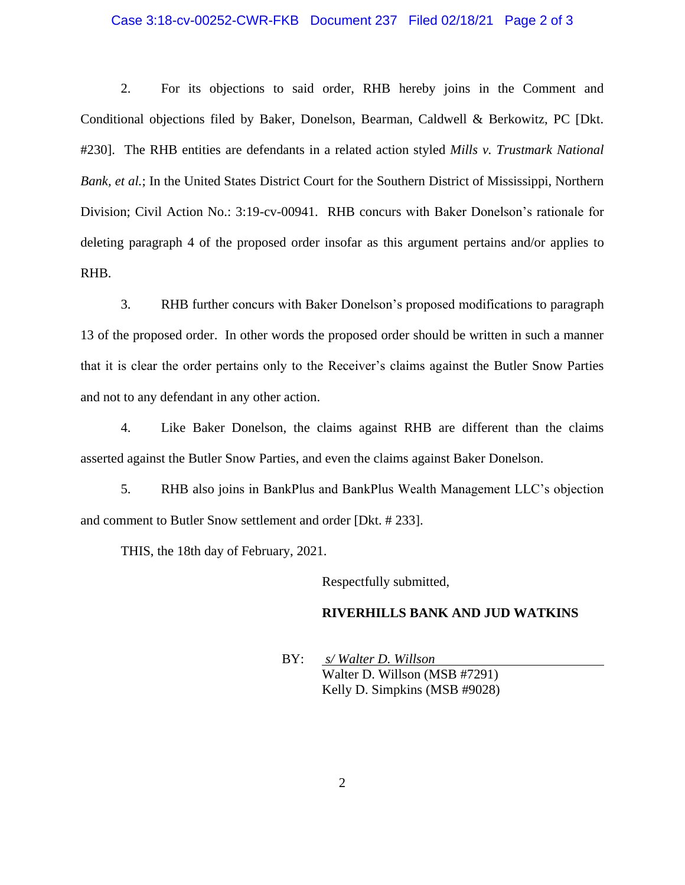#### Case 3:18-cv-00252-CWR-FKB Document 237 Filed 02/18/21 Page 2 of 3

2. For its objections to said order, RHB hereby joins in the Comment and Conditional objections filed by Baker, Donelson, Bearman, Caldwell & Berkowitz, PC [Dkt. #230]. The RHB entities are defendants in a related action styled *Mills v. Trustmark National Bank, et al.*; In the United States District Court for the Southern District of Mississippi, Northern Division; Civil Action No.: 3:19-cv-00941. RHB concurs with Baker Donelson's rationale for deleting paragraph 4 of the proposed order insofar as this argument pertains and/or applies to RHB.

3. RHB further concurs with Baker Donelson's proposed modifications to paragraph 13 of the proposed order. In other words the proposed order should be written in such a manner that it is clear the order pertains only to the Receiver's claims against the Butler Snow Parties and not to any defendant in any other action.

4. Like Baker Donelson, the claims against RHB are different than the claims asserted against the Butler Snow Parties, and even the claims against Baker Donelson.

5. RHB also joins in BankPlus and BankPlus Wealth Management LLC's objection and comment to Butler Snow settlement and order [Dkt. # 233].

THIS, the 18th day of February, 2021.

Respectfully submitted,

#### **RIVERHILLS BANK AND JUD WATKINS**

BY: *s/ Walter D. Willson*  Walter D. Willson (MSB #7291) Kelly D. Simpkins (MSB #9028)